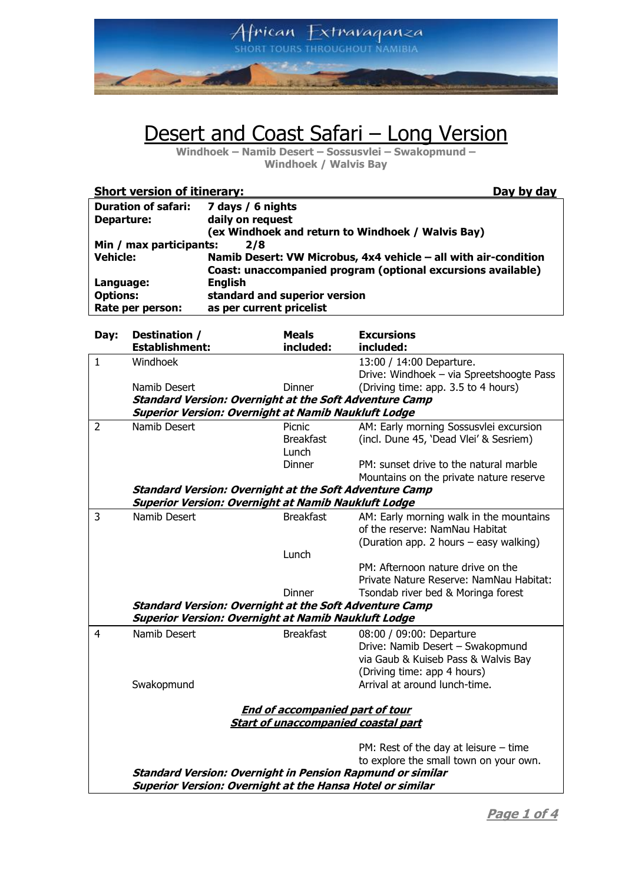

## Desert and Coast Safari - Long Version

**Windhoek – Namib Desert – Sossusvlei – Swakopmund – Windhoek / Walvis Bay**

| <b>Short version of itinerary:</b> |                                                                 | Day by day |  |  |
|------------------------------------|-----------------------------------------------------------------|------------|--|--|
| <b>Duration of safari:</b>         | 7 days / 6 nights                                               |            |  |  |
| Departure:                         | daily on request                                                |            |  |  |
|                                    | (ex Windhoek and return to Windhoek / Walvis Bay)               |            |  |  |
| Min / max participants:<br>2/8     |                                                                 |            |  |  |
| <b>Vehicle:</b>                    | Namib Desert: VW Microbus, 4x4 vehicle - all with air-condition |            |  |  |
|                                    | Coast: unaccompanied program (optional excursions available)    |            |  |  |
| Language:                          | <b>English</b>                                                  |            |  |  |
| <b>Options:</b>                    | standard and superior version                                   |            |  |  |
| Rate per person:                   | as per current pricelist                                        |            |  |  |

| Day:           | Destination /                                                                                                               | <b>Meals</b>                               | <b>Excursions</b>                                                            |
|----------------|-----------------------------------------------------------------------------------------------------------------------------|--------------------------------------------|------------------------------------------------------------------------------|
| $\mathbf{1}$   | <b>Establishment:</b><br>Windhoek                                                                                           | included:                                  | included:                                                                    |
|                |                                                                                                                             |                                            | 13:00 / 14:00 Departure.<br>Drive: Windhoek - via Spreetshoogte Pass         |
|                |                                                                                                                             | Dinner                                     |                                                                              |
|                | Namib Desert                                                                                                                |                                            | (Driving time: app. 3.5 to 4 hours)                                          |
|                | <b>Standard Version: Overnight at the Soft Adventure Camp</b><br><b>Superior Version: Overnight at Namib Naukluft Lodge</b> |                                            |                                                                              |
| $\overline{2}$ | Namib Desert                                                                                                                | Picnic                                     |                                                                              |
|                |                                                                                                                             | <b>Breakfast</b>                           | AM: Early morning Sossusvlei excursion                                       |
|                |                                                                                                                             | Lunch                                      | (incl. Dune 45, 'Dead Vlei' & Sesriem)                                       |
|                |                                                                                                                             | Dinner                                     | PM: sunset drive to the natural marble                                       |
|                |                                                                                                                             |                                            |                                                                              |
|                | <b>Standard Version: Overnight at the Soft Adventure Camp</b>                                                               |                                            | Mountains on the private nature reserve                                      |
|                | <b>Superior Version: Overnight at Namib Naukluft Lodge</b>                                                                  |                                            |                                                                              |
| 3              | Namib Desert                                                                                                                |                                            |                                                                              |
|                |                                                                                                                             | <b>Breakfast</b>                           | AM: Early morning walk in the mountains                                      |
|                |                                                                                                                             |                                            | of the reserve: NamNau Habitat                                               |
|                |                                                                                                                             |                                            | (Duration app. 2 hours - easy walking)                                       |
|                |                                                                                                                             | Lunch                                      |                                                                              |
|                |                                                                                                                             |                                            | PM: Afternoon nature drive on the<br>Private Nature Reserve: NamNau Habitat: |
|                |                                                                                                                             | <b>Dinner</b>                              |                                                                              |
|                |                                                                                                                             |                                            | Tsondab river bed & Moringa forest                                           |
|                | <b>Standard Version: Overnight at the Soft Adventure Camp</b><br><b>Superior Version: Overnight at Namib Naukluft Lodge</b> |                                            |                                                                              |
|                |                                                                                                                             |                                            |                                                                              |
| 4              | Namib Desert                                                                                                                | <b>Breakfast</b>                           | 08:00 / 09:00: Departure                                                     |
|                |                                                                                                                             |                                            | Drive: Namib Desert - Swakopmund                                             |
|                |                                                                                                                             |                                            | via Gaub & Kuiseb Pass & Walvis Bay                                          |
|                |                                                                                                                             |                                            | (Driving time: app 4 hours)                                                  |
|                | Swakopmund                                                                                                                  |                                            | Arrival at around lunch-time.                                                |
|                |                                                                                                                             |                                            |                                                                              |
|                |                                                                                                                             | <b>End of accompanied part of tour</b>     |                                                                              |
|                |                                                                                                                             | <b>Start of unaccompanied coastal part</b> |                                                                              |
|                |                                                                                                                             |                                            | PM: Rest of the day at leisure $-$ time                                      |
|                |                                                                                                                             |                                            | to explore the small town on your own.                                       |
|                | Standard Version: Overnight in Pension Rapmund or similar                                                                   |                                            |                                                                              |
|                | Superior Version: Overnight at the Hansa Hotel or similar                                                                   |                                            |                                                                              |
|                |                                                                                                                             |                                            |                                                                              |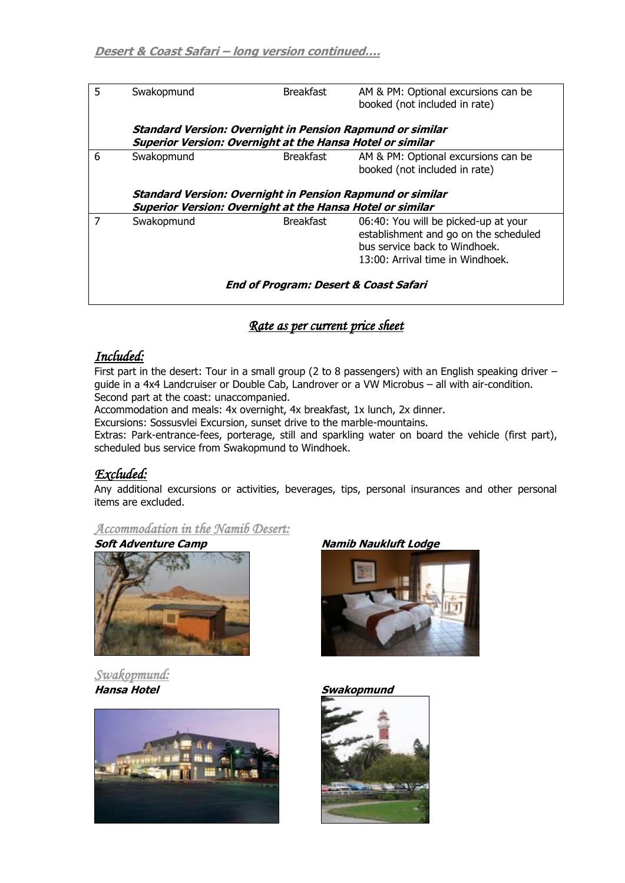| 5                                                | Swakopmund                                                                                                                           | <b>Breakfast</b> | AM & PM: Optional excursions can be<br>booked (not included in rate)                                                                               |  |  |
|--------------------------------------------------|--------------------------------------------------------------------------------------------------------------------------------------|------------------|----------------------------------------------------------------------------------------------------------------------------------------------------|--|--|
|                                                  | <b>Standard Version: Overnight in Pension Rapmund or similar</b><br><b>Superior Version: Overnight at the Hansa Hotel or similar</b> |                  |                                                                                                                                                    |  |  |
| 6                                                | Swakopmund                                                                                                                           | Breakfast        | AM & PM: Optional excursions can be<br>booked (not included in rate)                                                                               |  |  |
|                                                  | <b>Superior Version: Overnight at the Hansa Hotel or similar</b>                                                                     |                  | <b>Standard Version: Overnight in Pension Rapmund or similar</b>                                                                                   |  |  |
| 7                                                | Swakopmund                                                                                                                           | <b>Breakfast</b> | 06:40: You will be picked-up at your<br>establishment and go on the scheduled<br>bus service back to Windhoek.<br>13:00: Arrival time in Windhoek. |  |  |
| <b>End of Program: Desert &amp; Coast Safari</b> |                                                                                                                                      |                  |                                                                                                                                                    |  |  |

## *Rate as per current price sheet*

## *Included:*

First part in the desert: Tour in a small group (2 to 8 passengers) with an English speaking driver guide in a 4x4 Landcruiser or Double Cab, Landrover or a VW Microbus – all with air-condition. Second part at the coast: unaccompanied.

Accommodation and meals: 4x overnight, 4x breakfast, 1x lunch, 2x dinner.

Excursions: Sossusvlei Excursion, sunset drive to the marble-mountains.

Extras: Park-entrance-fees, porterage, still and sparkling water on board the vehicle (first part), scheduled bus service from Swakopmund to Windhoek.

## *Excluded:*

Any additional excursions or activities, beverages, tips, personal insurances and other personal items are excluded.

*Accommodation in the Namib Desert:* 



*Swakopmund:* 





#### **Hansa Hotel Swakopmund**

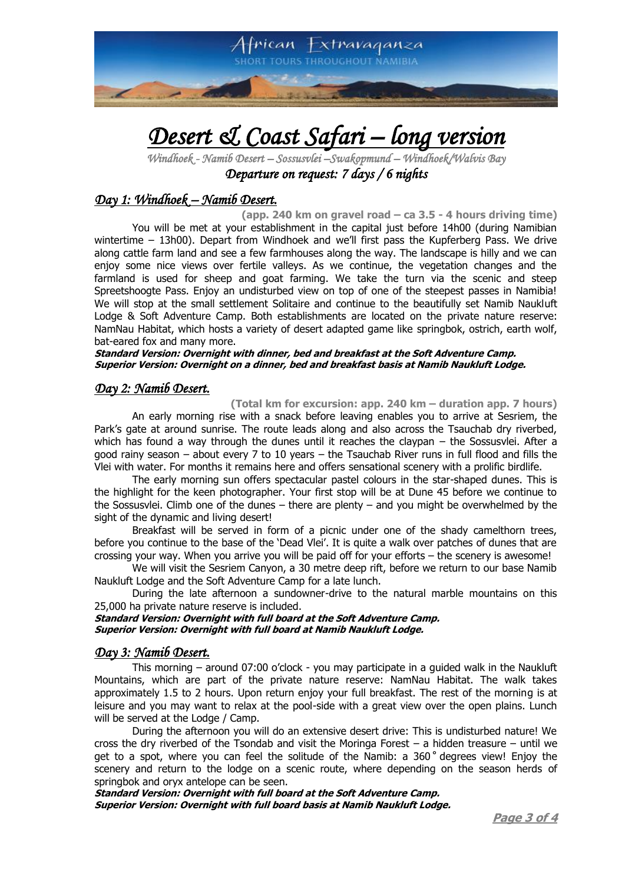

# *Desert & Coast Safari – long version*

*Windhoek - Namib Desert – Sossusvlei –Swakopmund – Windhoek/Walvis Bay Departure on request: 7 days / 6 nights* 

## *Day 1: Windhoek – Namib Desert.*

**(app. 240 km on gravel road – ca 3.5 - 4 hours driving time)** You will be met at your establishment in the capital just before 14h00 (during Namibian wintertime – 13h00). Depart from Windhoek and we'll first pass the Kupferberg Pass. We drive along cattle farm land and see a few farmhouses along the way. The landscape is hilly and we can enjoy some nice views over fertile valleys. As we continue, the vegetation changes and the farmland is used for sheep and goat farming. We take the turn via the scenic and steep Spreetshoogte Pass. Enjoy an undisturbed view on top of one of the steepest passes in Namibia! We will stop at the small settlement Solitaire and continue to the beautifully set Namib Naukluft Lodge & Soft Adventure Camp. Both establishments are located on the private nature reserve: NamNau Habitat, which hosts a variety of desert adapted game like springbok, ostrich, earth wolf, bat-eared fox and many more.

#### **Standard Version: Overnight with dinner, bed and breakfast at the Soft Adventure Camp. Superior Version: Overnight on a dinner, bed and breakfast basis at Namib Naukluft Lodge.**

#### *Day 2: Namib Desert.*

**(Total km for excursion: app. 240 km – duration app. 7 hours)** An early morning rise with a snack before leaving enables you to arrive at Sesriem, the Park's gate at around sunrise. The route leads along and also across the Tsauchab dry riverbed, which has found a way through the dunes until it reaches the claypan – the Sossusvlei. After a

good rainy season – about every 7 to 10 years – the Tsauchab River runs in full flood and fills the Vlei with water. For months it remains here and offers sensational scenery with a prolific birdlife.

The early morning sun offers spectacular pastel colours in the star-shaped dunes. This is the highlight for the keen photographer. Your first stop will be at Dune 45 before we continue to the Sossusvlei. Climb one of the dunes – there are plenty – and you might be overwhelmed by the sight of the dynamic and living desert!

Breakfast will be served in form of a picnic under one of the shady camelthorn trees, before you continue to the base of the 'Dead Vlei'. It is quite a walk over patches of dunes that are crossing your way. When you arrive you will be paid off for your efforts – the scenery is awesome!

We will visit the Sesriem Canyon, a 30 metre deep rift, before we return to our base Namib Naukluft Lodge and the Soft Adventure Camp for a late lunch.

During the late afternoon a sundowner-drive to the natural marble mountains on this 25,000 ha private nature reserve is included.

**Standard Version: Overnight with full board at the Soft Adventure Camp. Superior Version: Overnight with full board at Namib Naukluft Lodge.**

#### *Day 3: Namib Desert.*

This morning – around 07:00 o'clock - you may participate in a guided walk in the Naukluft Mountains, which are part of the private nature reserve: NamNau Habitat. The walk takes approximately 1.5 to 2 hours. Upon return enjoy your full breakfast. The rest of the morning is at leisure and you may want to relax at the pool-side with a great view over the open plains. Lunch will be served at the Lodge / Camp.

During the afternoon you will do an extensive desert drive: This is undisturbed nature! We cross the dry riverbed of the Tsondab and visit the Moringa Forest – a hidden treasure – until we get to a spot, where you can feel the solitude of the Namib: a  $360^\circ$  degrees view! Enjoy the scenery and return to the lodge on a scenic route, where depending on the season herds of springbok and oryx antelope can be seen.

**Standard Version: Overnight with full board at the Soft Adventure Camp. Superior Version: Overnight with full board basis at Namib Naukluft Lodge.**